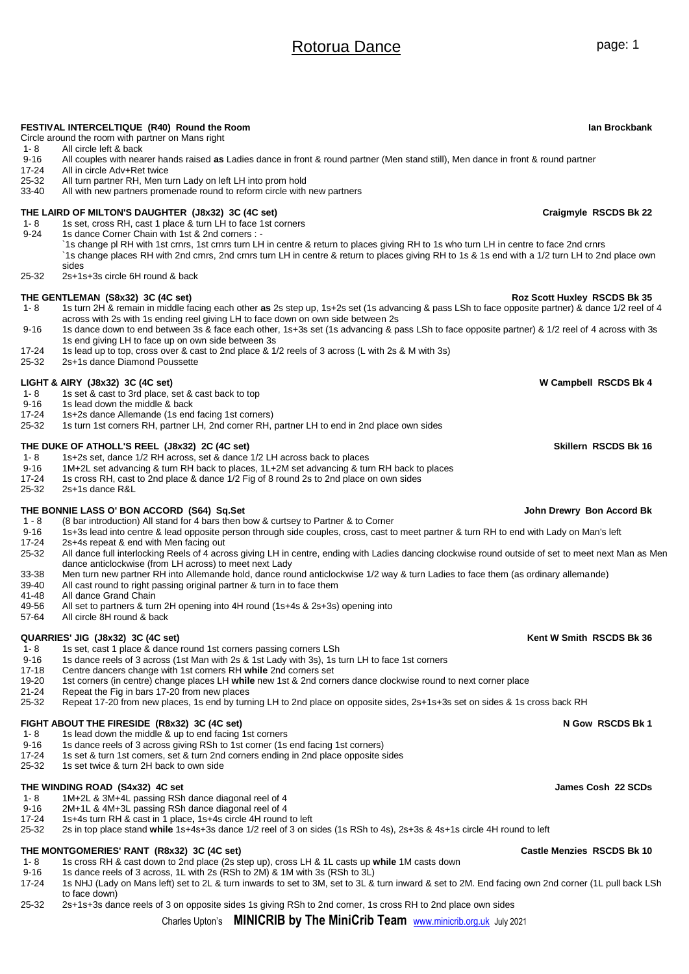# Rotorua Dance **page:** 1

**FESTIVAL INTERCELTIQUE (R40) Round the Room Ian Brockbank**

| $9 - 16$           | All couples with nearer hands raised as Ladies dance in front & round partner (Men stand still), Men dance in front & round partner                                                                                                                                                                |                              |
|--------------------|----------------------------------------------------------------------------------------------------------------------------------------------------------------------------------------------------------------------------------------------------------------------------------------------------|------------------------------|
| 17-24              | All in circle Adv+Ret twice                                                                                                                                                                                                                                                                        |                              |
| $25 - 32$<br>33-40 | All turn partner RH, Men turn Lady on left LH into prom hold<br>All with new partners promenade round to reform circle with new partners                                                                                                                                                           |                              |
|                    |                                                                                                                                                                                                                                                                                                    |                              |
|                    | THE LAIRD OF MILTON'S DAUGHTER (J8x32) 3C (4C set)                                                                                                                                                                                                                                                 | Craigmyle RSCDS Bk 22        |
| $1 - 8$            | 1s set, cross RH, cast 1 place & turn LH to face 1st corners                                                                                                                                                                                                                                       |                              |
| $9 - 24$           | 1s dance Corner Chain with 1st & 2nd corners : -                                                                                                                                                                                                                                                   |                              |
|                    | 1s change pl RH with 1st crnrs, 1st crnrs turn LH in centre & return to places giving RH to 1s who turn LH in centre to face 2nd crnrs<br>1s change places RH with 2nd crnrs, 2nd crnrs turn LH in centre & return to places giving RH to 1s & 1s end with a 1/2 turn LH to 2nd place own<br>sides |                              |
| 25-32              | 2s+1s+3s circle 6H round & back                                                                                                                                                                                                                                                                    |                              |
|                    | THE GENTLEMAN (S8x32) 3C (4C set)                                                                                                                                                                                                                                                                  | Roz Scott Huxley RSCDS Bk 35 |
| 1-8                | 1s turn 2H & remain in middle facing each other as 2s step up, 1s+2s set (1s advancing & pass LSh to face opposite partner) & dance 1/2 reel of 4                                                                                                                                                  |                              |
|                    | across with 2s with 1s ending reel giving LH to face down on own side between 2s                                                                                                                                                                                                                   |                              |
| $9 - 16$           | 1s dance down to end between 3s & face each other, 1s+3s set (1s advancing & pass LSh to face opposite partner) & 1/2 reel of 4 across with 3s                                                                                                                                                     |                              |
|                    | 1s end giving LH to face up on own side between 3s                                                                                                                                                                                                                                                 |                              |
| $17 - 24$          |                                                                                                                                                                                                                                                                                                    |                              |
| 25-32              | 1s lead up to top, cross over & cast to 2nd place & 1/2 reels of 3 across (L with 2s & M with 3s)<br>2s+1s dance Diamond Poussette                                                                                                                                                                 |                              |
|                    |                                                                                                                                                                                                                                                                                                    |                              |
|                    | LIGHT & AIRY (J8x32) 3C (4C set)                                                                                                                                                                                                                                                                   | W Campbell RSCDS Bk 4        |
| $1 - 8$            | 1s set & cast to 3rd place, set & cast back to top                                                                                                                                                                                                                                                 |                              |
| $9 - 16$           | 1s lead down the middle & back                                                                                                                                                                                                                                                                     |                              |
| $17 - 24$          | 1s+2s dance Allemande (1s end facing 1st corners)                                                                                                                                                                                                                                                  |                              |
| 25-32              | 1s turn 1st corners RH, partner LH, 2nd corner RH, partner LH to end in 2nd place own sides                                                                                                                                                                                                        |                              |
|                    | THE DUKE OF ATHOLL'S REEL (J8x32) 2C (4C set)                                                                                                                                                                                                                                                      | Skillern RSCDS Bk 16         |
| $1 - 8$            | 1s+2s set, dance 1/2 RH across, set & dance 1/2 LH across back to places                                                                                                                                                                                                                           |                              |
| $9 - 16$           | 1M+2L set advancing & turn RH back to places, 1L+2M set advancing & turn RH back to places                                                                                                                                                                                                         |                              |
| 17-24              | 1s cross RH, cast to 2nd place & dance 1/2 Fig of 8 round 2s to 2nd place on own sides                                                                                                                                                                                                             |                              |
| 25-32              | 2s+1s dance R&L                                                                                                                                                                                                                                                                                    |                              |
|                    | THE BONNIE LASS O' BON ACCORD (S64) Sq.Set                                                                                                                                                                                                                                                         | John Drewry Bon Accord Bk    |
| $1 - 8$            | (8 bar introduction) All stand for 4 bars then bow & curtsey to Partner & to Corner                                                                                                                                                                                                                |                              |
| $9 - 16$           | 1s+3s lead into centre & lead opposite person through side couples, cross, cast to meet partner & turn RH to end with Lady on Man's left                                                                                                                                                           |                              |
| $17 - 24$          | 2s+4s repeat & end with Men facing out                                                                                                                                                                                                                                                             |                              |
| 25-32              | All dance full interlocking Reels of 4 across giving LH in centre, ending with Ladies dancing clockwise round outside of set to meet next Man as Men                                                                                                                                               |                              |
|                    | dance anticlockwise (from LH across) to meet next Lady                                                                                                                                                                                                                                             |                              |
| 33-38              | Men turn new partner RH into Allemande hold, dance round anticlockwise 1/2 way & turn Ladies to face them (as ordinary allemande)                                                                                                                                                                  |                              |
| 39-40              | All cast round to right passing original partner & turn in to face them                                                                                                                                                                                                                            |                              |
| 41-48              | All dance Grand Chain                                                                                                                                                                                                                                                                              |                              |
| 49-56              | All set to partners & turn 2H opening into 4H round (1s+4s & 2s+3s) opening into                                                                                                                                                                                                                   |                              |
| 57-64              | All circle 8H round & back                                                                                                                                                                                                                                                                         |                              |
|                    | QUARRIES' JIG (J8x32) 3C (4C set)                                                                                                                                                                                                                                                                  | Kent W Smith RSCDS Bk 36     |
| $1 - 8$            | 1s set, cast 1 place & dance round 1st corners passing corners LSh                                                                                                                                                                                                                                 |                              |
| $9 - 16$           | 1s dance reels of 3 across (1st Man with 2s & 1st Lady with 3s), 1s turn LH to face 1st corners                                                                                                                                                                                                    |                              |
| 17-18              | Centre dancers change with 1st corners RH while 2nd corners set                                                                                                                                                                                                                                    |                              |
| 19-20              | 1st corners (in centre) change places LH while new 1st & 2nd corners dance clockwise round to next corner place                                                                                                                                                                                    |                              |
| $21 - 24$          | Repeat the Fig in bars 17-20 from new places                                                                                                                                                                                                                                                       |                              |
| 25-32              | Repeat 17-20 from new places, 1s end by turning LH to 2nd place on opposite sides, 2s+1s+3s set on sides & 1s cross back RH                                                                                                                                                                        |                              |
|                    | FIGHT ABOUT THE FIRESIDE (R8x32) 3C (4C set)                                                                                                                                                                                                                                                       | N Gow RSCDS Bk 1             |
| $1 - 8$            | 1s lead down the middle & up to end facing 1st corners                                                                                                                                                                                                                                             |                              |
| $9 - 16$           |                                                                                                                                                                                                                                                                                                    |                              |
|                    | 1s dance reels of 3 across giving RSh to 1st corner (1s end facing 1st corners)                                                                                                                                                                                                                    |                              |
| $17 - 24$<br>25-32 | 1s set & turn 1st corners, set & turn 2nd corners ending in 2nd place opposite sides<br>1s set twice & turn 2H back to own side                                                                                                                                                                    |                              |
|                    |                                                                                                                                                                                                                                                                                                    |                              |

### **THE WINDING ROAD (S4x32) 4C set James Cosh 22 SCDs**

Circle around the room with partner on Mans right<br>1-8 All circle left & back

1- 8 All circle left & back<br>9-16 All couples with near

- 1- 8 1M+2L & 3M+4L passing RSh dance diagonal reel of 4<br>9-16 2M+1L & 4M+3L passing RSh dance diagonal reel of 4
- 9-16 2M+1L & 4M+3L passing RSh dance diagonal reel of 4<br>17-24 1s+4s turn RH & cast in 1 place. 1s+4s circle 4H round
- 17-24 1s+4s turn RH & cast in 1 place**,** 1s+4s circle 4H round to left

25-32 2s in top place stand **while** 1s+4s+3s dance 1/2 reel of 3 on sides (1s RSh to 4s), 2s+3s & 4s+1s circle 4H round to left

- **THE MONTGOMERIES' RANT (R8x32) 3C (4C set) Castle Menzies RSCDS Bk 10**<br>1-8 1s cross RH & cast down to 2nd place (2s step up) cross LH & 1L casts up while 1M casts down 1- 8 1s cross RH & cast down to 2nd place (2s step up), cross LH & 1L casts up **while** 1M casts down
- 9-16 1s dance reels of 3 across, 1L with 2s (RSh to 2M) & 1M with 3s (RSh to 3L)<br>17-24 1s NHJ (Lady on Mans left) set to 2L & turn inwards to set to 3M, set to 3L &
- 17-24 1s NHJ (Lady on Mans left) set to 2L & turn inwards to set to 3M, set to 3L & turn inward & set to 2M. End facing own 2nd corner (1L pull back LSh to face down)
- 25-32 2s+1s+3s dance reels of 3 on opposite sides 1s giving RSh to 2nd corner, 1s cross RH to 2nd place own sides